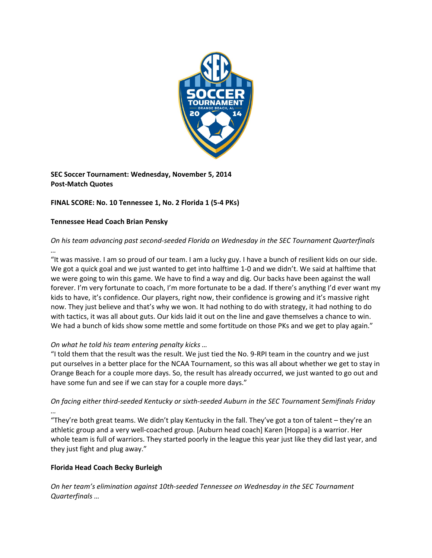

**SEC Soccer Tournament: Wednesday, November 5, 2014 Post‐Match Quotes**

# **FINAL SCORE: No. 10 Tennessee 1, No. 2 Florida 1 (5‐4 PKs)**

#### **Tennessee Head Coach Brian Pensky**

## *On his team advancing past second‐seeded Florida on Wednesday in the SEC Tournament Quarterfinals …*

"It was massive. I am so proud of our team. I am a lucky guy. I have a bunch of resilient kids on our side. We got a quick goal and we just wanted to get into halftime 1-0 and we didn't. We said at halftime that we were going to win this game. We have to find a way and dig. Our backs have been against the wall forever. I'm very fortunate to coach, I'm more fortunate to be a dad. If there's anything I'd ever want my kids to have, it's confidence. Our players, right now, their confidence is growing and it's massive right now. They just believe and that's why we won. It had nothing to do with strategy, it had nothing to do with tactics, it was all about guts. Our kids laid it out on the line and gave themselves a chance to win. We had a bunch of kids show some mettle and some fortitude on those PKs and we get to play again."

### *On what he told his team entering penalty kicks …*

"I told them that the result was the result. We just tied the No. 9‐RPI team in the country and we just put ourselves in a better place for the NCAA Tournament, so this was all about whether we get to stay in Orange Beach for a couple more days. So, the result has already occurred, we just wanted to go out and have some fun and see if we can stay for a couple more days."

# On facing either third-seeded Kentucky or sixth-seeded Auburn in the SEC Tournament Semifinals Friday *…*

"They're both great teams. We didn't play Kentucky in the fall. They've got a ton of talent – they're an athletic group and a very well‐coached group. [Auburn head coach] Karen [Hoppa] is a warrior. Her whole team is full of warriors. They started poorly in the league this year just like they did last year, and they just fight and plug away."

### **Florida Head Coach Becky Burleigh**

*On her team's elimination against 10th‐seeded Tennessee on Wednesday in the SEC Tournament Quarterfinals …*